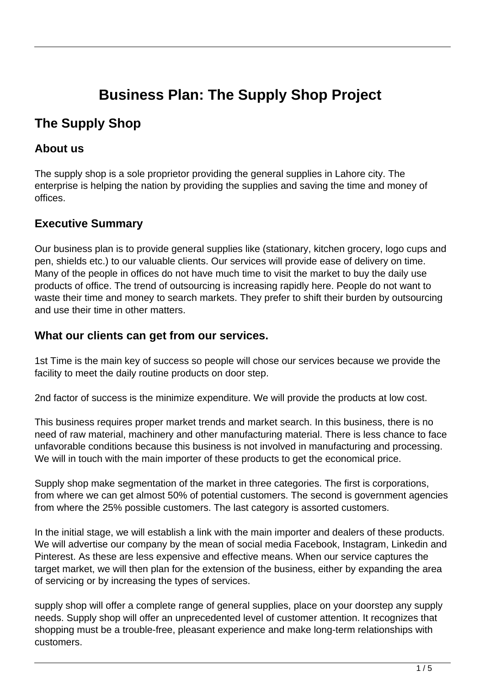# **Business Plan: The Supply Shop Project**

# **The Supply Shop**

# **About us**

The supply shop is a sole proprietor providing the general supplies in Lahore city. The enterprise is helping the nation by providing the supplies and saving the time and money of offices.

# **Executive Summary**

Our business plan is to provide general supplies like (stationary, kitchen grocery, logo cups and pen, shields etc.) to our valuable clients. Our services will provide ease of delivery on time. Many of the people in offices do not have much time to visit the market to buy the daily use products of office. The trend of outsourcing is increasing rapidly here. People do not want to waste their time and money to search markets. They prefer to shift their burden by outsourcing and use their time in other matters.

# **What our clients can get from our services.**

1st Time is the main key of success so people will chose our services because we provide the facility to meet the daily routine products on door step.

2nd factor of success is the minimize expenditure. We will provide the products at low cost.

This business requires proper market trends and market search. In this business, there is no need of raw material, machinery and other manufacturing material. There is less chance to face unfavorable conditions because this business is not involved in manufacturing and processing. We will in touch with the main importer of these products to get the economical price.

Supply shop make segmentation of the market in three categories. The first is corporations, from where we can get almost 50% of potential customers. The second is government agencies from where the 25% possible customers. The last category is assorted customers.

In the initial stage, we will establish a link with the main importer and dealers of these products. We will advertise our company by the mean of social media Facebook, Instagram, Linkedin and Pinterest. As these are less expensive and effective means. When our service captures the target market, we will then plan for the extension of the business, either by expanding the area of servicing or by increasing the types of services.

supply shop will offer a complete range of general supplies, place on your doorstep any supply needs. Supply shop will offer an unprecedented level of customer attention. It recognizes that shopping must be a trouble-free, pleasant experience and make long-term relationships with customers.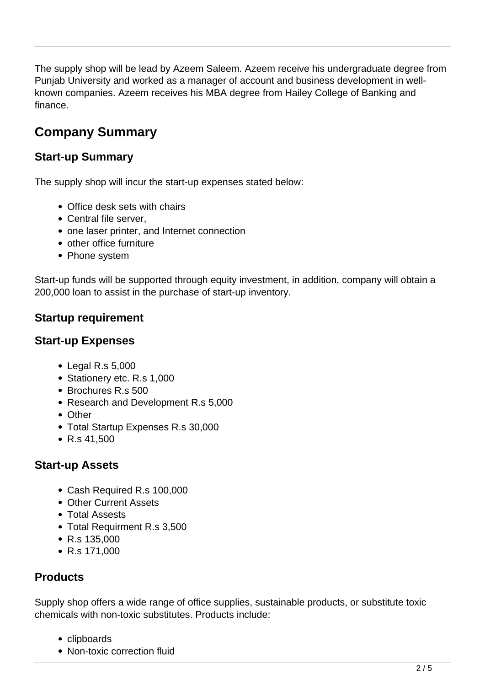The supply shop will be lead by Azeem Saleem. Azeem receive his undergraduate degree from Punjab University and worked as a manager of account and business development in wellknown companies. Azeem receives his MBA degree from Hailey College of Banking and finance.

# **Company Summary**

# **Start-up Summary**

The supply shop will incur the start-up expenses stated below:

- Office desk sets with chairs
- Central file server.
- one laser printer, and Internet connection
- other office furniture
- Phone system

Start-up funds will be supported through equity investment, in addition, company will obtain a 200,000 loan to assist in the purchase of start-up inventory.

# **Startup requirement**

# **Start-up Expenses**

- Legal R.s 5,000
- Stationery etc. R.s 1,000
- Brochures R.s 500
- Research and Development R.s 5,000
- Other
- Total Startup Expenses R.s 30,000
- R.s 41,500

# **Start-up Assets**

- Cash Required R.s 100,000
- Other Current Assets
- Total Assests
- Total Requirment R.s 3,500
- R.s 135,000
- R.s 171,000

# **Products**

Supply shop offers a wide range of office supplies, sustainable products, or substitute toxic chemicals with non-toxic substitutes. Products include:

- clipboards
- Non-toxic correction fluid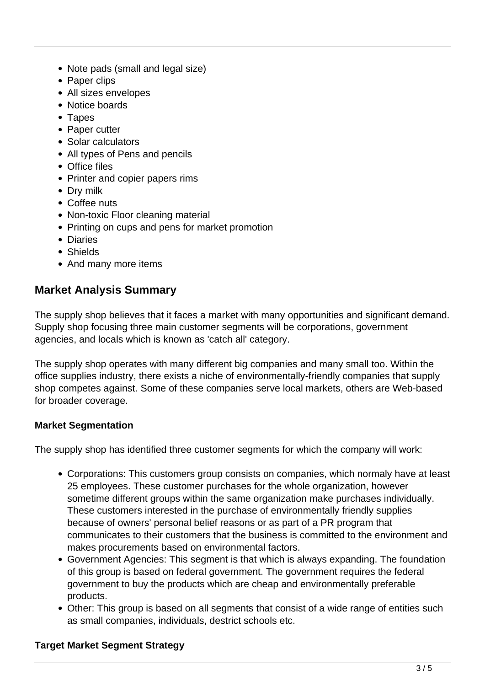- Note pads (small and legal size)
- Paper clips
- All sizes envelopes
- Notice boards
- Tapes
- Paper cutter
- Solar calculators
- All types of Pens and pencils
- Office files
- Printer and copier papers rims
- Dry milk
- Coffee nuts
- Non-toxic Floor cleaning material
- Printing on cups and pens for market promotion
- Diaries
- Shields
- And many more items

### **Market Analysis Summary**

The supply shop believes that it faces a market with many opportunities and significant demand. Supply shop focusing three main customer segments will be corporations, government agencies, and locals which is known as 'catch all' category.

The supply shop operates with many different big companies and many small too. Within the office supplies industry, there exists a niche of environmentally-friendly companies that supply shop competes against. Some of these companies serve local markets, others are Web-based for broader coverage.

#### **Market Segmentation**

The supply shop has identified three customer segments for which the company will work:

- Corporations: This customers group consists on companies, which normaly have at least 25 employees. These customer purchases for the whole organization, however sometime different groups within the same organization make purchases individually. These customers interested in the purchase of environmentally friendly supplies because of owners' personal belief reasons or as part of a PR program that communicates to their customers that the business is committed to the environment and makes procurements based on environmental factors.
- Government Agencies: This segment is that which is always expanding. The foundation of this group is based on federal government. The government requires the federal government to buy the products which are cheap and environmentally preferable products.
- Other: This group is based on all segments that consist of a wide range of entities such as small companies, individuals, destrict schools etc.

#### **Target Market Segment Strategy**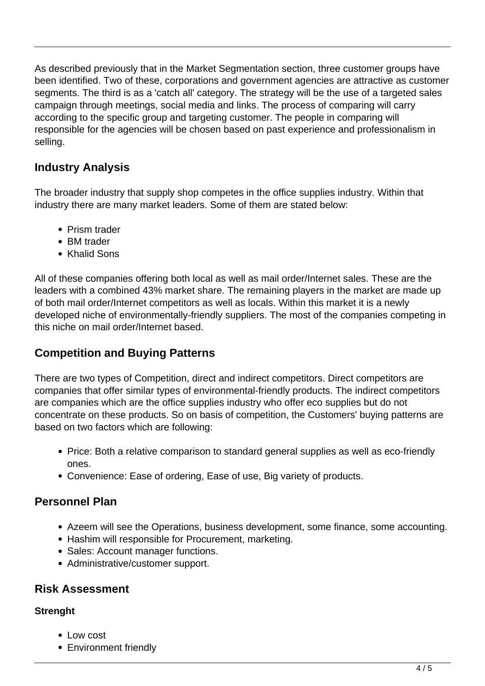As described previously that in the Market Segmentation section, three customer groups have been identified. Two of these, corporations and government agencies are attractive as customer segments. The third is as a 'catch all' category. The strategy will be the use of a targeted sales campaign through meetings, social media and links. The process of comparing will carry according to the specific group and targeting customer. The people in comparing will responsible for the agencies will be chosen based on past experience and professionalism in selling.

# **Industry Analysis**

The broader industry that supply shop competes in the office supplies industry. Within that industry there are many market leaders. Some of them are stated below:

- Prism trader
- BM trader
- Khalid Sons

All of these companies offering both local as well as mail order/Internet sales. These are the leaders with a combined 43% market share. The remaining players in the market are made up of both mail order/Internet competitors as well as locals. Within this market it is a newly developed niche of environmentally-friendly suppliers. The most of the companies competing in this niche on mail order/Internet based.

# **Competition and Buying Patterns**

There are two types of Competition, direct and indirect competitors. Direct competitors are companies that offer similar types of environmental-friendly products. The indirect competitors are companies which are the office supplies industry who offer eco supplies but do not concentrate on these products. So on basis of competition, the Customers' buying patterns are based on two factors which are following:

- Price: Both a relative comparison to standard general supplies as well as eco-friendly ones.
- Convenience: Ease of ordering, Ease of use, Big variety of products.

# **Personnel Plan**

- Azeem will see the Operations, business development, some finance, some accounting.
- Hashim will responsible for Procurement, marketing.
- Sales: Account manager functions.
- Administrative/customer support.

# **Risk Assessment**

### **Strenght**

- Low cost
- Environment friendly